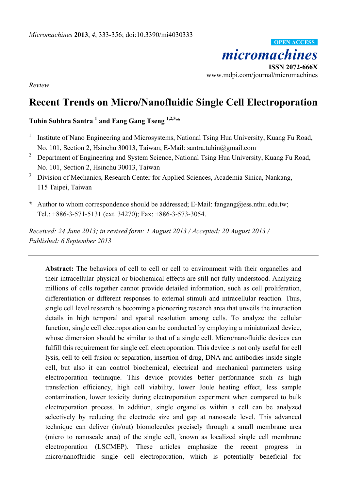*micromachines*  **ISSN 2072-666X**  www.mdpi.com/journal/micromachines **OPEN ACCESS**

*Review*

# **Recent Trends on Micro/Nanofluidic Single Cell Electroporation**

**Tuhin Subhra Santra <sup>1</sup> and Fang Gang Tseng 1,2,3, \*** 

- 1 Institute of Nano Engineering and Microsystems, National Tsing Hua University, Kuang Fu Road, No. 101, Section 2, Hsinchu 30013, Taiwan; E-Mail: santra.tuhin@gmail.com
- 2 Department of Engineering and System Science, National Tsing Hua University, Kuang Fu Road, No. 101, Section 2, Hsinchu 30013, Taiwan
- <sup>3</sup> Division of Mechanics, Research Center for Applied Sciences, Academia Sinica, Nankang, 115 Taipei, Taiwan
- **\*** Author to whom correspondence should be addressed; E-Mail: fangang@ess.nthu.edu.tw; Tel.: +886-3-571-5131 (ext. 34270); Fax: +886-3-573-3054.

*Received: 24 June 2013; in revised form: 1 August 2013 / Accepted: 20 August 2013 / Published: 6 September 2013*

Abstract: The behaviors of cell to cell or cell to environment with their organelles and their intracellular physical or biochemical effects are still not fully understood. Analyzing millions of cells together cannot provide detailed information, such as cell proliferation, differentiation or different responses to external stimuli and intracellular reaction. Thus, single cell level research is becoming a pioneering research area that unveils the interaction details in high temporal and spatial resolution among cells. To analyze the cellular function, single cell electroporation can be conducted by employing a miniaturized device, whose dimension should be similar to that of a single cell. Micro/nanofluidic devices can fulfill this requirement for single cell electroporation. This device is not only useful for cell lysis, cell to cell fusion or separation, insertion of drug, DNA and antibodies inside single cell, but also it can control biochemical, electrical and mechanical parameters using electroporation technique. This device provides better performance such as high transfection efficiency, high cell viability, lower Joule heating effect, less sample contamination, lower toxicity during electroporation experiment when compared to bulk electroporation process. In addition, single organelles within a cell can be analyzed selectively by reducing the electrode size and gap at nanoscale level. This advanced technique can deliver (in/out) biomolecules precisely through a small membrane area (micro to nanoscale area) of the single cell, known as localized single cell membrane electroporation (LSCMEP). These articles emphasize the recent progress in micro/nanofluidic single cell electroporation, which is potentially beneficial for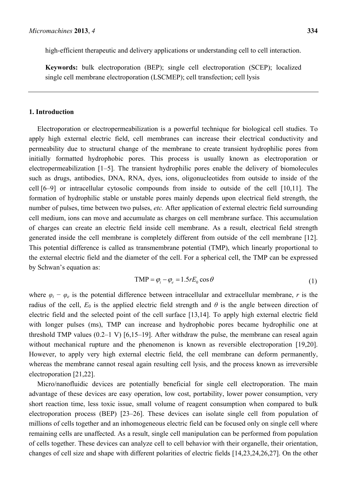**Keywords:** bulk electroporation (BEP); single cell electroporation (SCEP); localized single cell membrane electroporation (LSCMEP); cell transfection; cell lysis

# **1. Introduction**

Electroporation or electropermeabilization is a powerful technique for biological cell studies. To apply high external electric field, cell membranes can increase their electrical conductivity and permeability due to structural change of the membrane to create transient hydrophilic pores from initially formatted hydrophobic pores. This process is usually known as electroporation or electropermeabilization [1–5]. The transient hydrophilic pores enable the delivery of biomolecules such as drugs, antibodies, DNA, RNA, dyes, ions, oligonucleotides from outside to inside of the cell [6–9] or intracellular cytosolic compounds from inside to outside of the cell [10,11]. The formation of hydrophilic stable or unstable pores mainly depends upon electrical field strength, the number of pulses, time between two pulses, *etc.* After application of external electric field surrounding cell medium, ions can move and accumulate as charges on cell membrane surface. This accumulation of charges can create an electric field inside cell membrane. As a result, electrical field strength generated inside the cell membrane is completely different from outside of the cell membrane [12]. This potential difference is called as transmembrane potential (TMP), which linearly proportional to the external electric field and the diameter of the cell. For a spherical cell, the TMP can be expressed by Schwan's equation as:

$$
TMP = \varphi_i - \varphi_e = 1.5rE_0 \cos \theta \tag{1}
$$

where  $\varphi_i - \varphi_e$  is the potential difference between intracellular and extracellular membrane, *r* is the radius of the cell,  $E_0$  is the applied electric field strength and  $\theta$  is the angle between direction of electric field and the selected point of the cell surface [13,14]. To apply high external electric field with longer pulses (ms), TMP can increase and hydrophobic pores became hydrophilic one at threshold TMP values  $(0.2-1 \text{ V})$  [6,15–19]. After withdraw the pulse, the membrane can reseal again without mechanical rupture and the phenomenon is known as reversible electroporation [19,20]. However, to apply very high external electric field, the cell membrane can deform permanently, whereas the membrane cannot reseal again resulting cell lysis, and the process known as irreversible electroporation [21,22].

Micro/nanofluidic devices are potentially beneficial for single cell electroporation. The main advantage of these devices are easy operation, low cost, portability, lower power consumption, very short reaction time, less toxic issue, small volume of reagent consumption when compared to bulk electroporation process (BEP) [23–26]. These devices can isolate single cell from population of millions of cells together and an inhomogeneous electric field can be focused only on single cell where remaining cells are unaffected. As a result, single cell manipulation can be performed from population of cells together. These devices can analyze cell to cell behavior with their organelle, their orientation, changes of cell size and shape with different polarities of electric fields [14,23,24,26,27]. On the other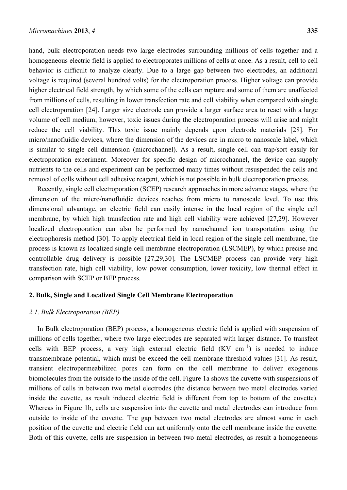hand, bulk electroporation needs two large electrodes surrounding millions of cells together and a homogeneous electric field is applied to electroporates millions of cells at once. As a result, cell to cell behavior is difficult to analyze clearly. Due to a large gap between two electrodes, an additional voltage is required (several hundred volts) for the electroporation process. Higher voltage can provide higher electrical field strength, by which some of the cells can rupture and some of them are unaffected from millions of cells, resulting in lower transfection rate and cell viability when compared with single cell electroporation [24]. Larger size electrode can provide a larger surface area to react with a large volume of cell medium; however, toxic issues during the electroporation process will arise and might reduce the cell viability. This toxic issue mainly depends upon electrode materials [28]. For micro/nanofluidic devices, where the dimension of the devices are in micro to nanoscale label, which is similar to single cell dimension (microchannel). As a result, single cell can trap/sort easily for electroporation experiment. Moreover for specific design of microchannel, the device can supply nutrients to the cells and experiment can be performed many times without resuspended the cells and removal of cells without cell adhesive reagent, which is not possible in bulk electroporation process.

Recently, single cell electroporation (SCEP) research approaches in more advance stages, where the dimension of the micro/nanofluidic devices reaches from micro to nanoscale level. To use this dimensional advantage, an electric field can easily intense in the local region of the single cell membrane, by which high transfection rate and high cell viability were achieved [27,29]. However localized electroporation can also be performed by nanochannel ion transportation using the electrophoresis method [30]. To apply electrical field in local region of the single cell membrane, the process is known as localized single cell membrane electroporation (LSCMEP), by which precise and controllable drug delivery is possible [27,29,30]. The LSCMEP process can provide very high transfection rate, high cell viability, low power consumption, lower toxicity, low thermal effect in comparison with SCEP or BEP process.

#### **2. Bulk, Single and Localized Single Cell Membrane Electroporation**

#### *2.1. Bulk Electroporation (BEP)*

In Bulk electroporation (BEP) process, a homogeneous electric field is applied with suspension of millions of cells together, where two large electrodes are separated with larger distance. To transfect cells with BEP process, a very high external electric field  $(KV \text{ cm}^{-1})$  is needed to induce transmembrane potential, which must be exceed the cell membrane threshold values [31]. As result, transient electropermeabilized pores can form on the cell membrane to deliver exogenous biomolecules from the outside to the inside of the cell. Figure 1a shows the cuvette with suspensions of millions of cells in between two metal electrodes (the distance between two metal electrodes varied inside the cuvette, as result induced electric field is different from top to bottom of the cuvette). Whereas in Figure 1b, cells are suspension into the cuvette and metal electrodes can introduce from outside to inside of the cuvette. The gap between two metal electrodes are almost same in each position of the cuvette and electric field can act uniformly onto the cell membrane inside the cuvette. Both of this cuvette, cells are suspension in between two metal electrodes, as result a homogeneous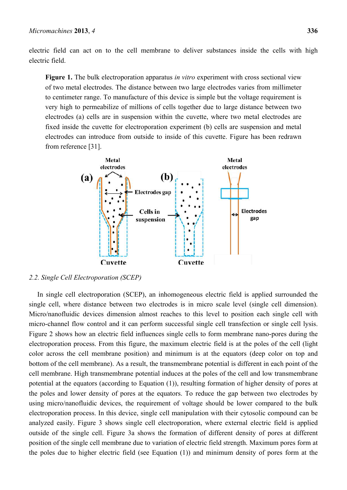electric field can act on to the cell membrane to deliver substances inside the cells with high electric field.

**Figure 1.** The bulk electroporation apparatus *in vitro* experiment with cross sectional view of two metal electrodes. The distance between two large electrodes varies from millimeter to centimeter range. To manufacture of this device is simple but the voltage requirement is very high to permeabilize of millions of cells together due to large distance between two electrodes (a) cells are in suspension within the cuvette, where two metal electrodes are fixed inside the cuvette for electroporation experiment (b) cells are suspension and metal electrodes can introduce from outside to inside of this cuvette. Figure has been redrawn from reference [31].



## *2.2. Single Cell Electroporation (SCEP)*

In single cell electroporation (SCEP), an inhomogeneous electric field is applied surrounded the single cell, where distance between two electrodes is in micro scale level (single cell dimension). Micro/nanofluidic devices dimension almost reaches to this level to position each single cell with micro-channel flow control and it can perform successful single cell transfection or single cell lysis. Figure 2 shows how an electric field influences single cells to form membrane nano-pores during the electroporation process. From this figure, the maximum electric field is at the poles of the cell (light color across the cell membrane position) and minimum is at the equators (deep color on top and bottom of the cell membrane). As a result, the transmembrane potential is different in each point of the cell membrane. High transmembrane potential induces at the poles of the cell and low transmembrane potential at the equators (according to Equation (1)), resulting formation of higher density of pores at the poles and lower density of pores at the equators. To reduce the gap between two electrodes by using micro/nanofluidic devices, the requirement of voltage should be lower compared to the bulk electroporation process. In this device, single cell manipulation with their cytosolic compound can be analyzed easily. Figure 3 shows single cell electroporation, where external electric field is applied outside of the single cell. Figure 3a shows the formation of different density of pores at different position of the single cell membrane due to variation of electric field strength. Maximum pores form at the poles due to higher electric field (see Equation (1)) and minimum density of pores form at the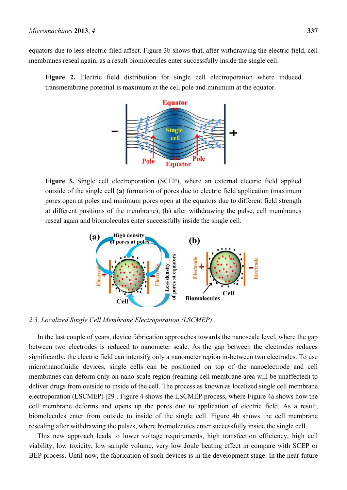equators due to less electric filed affect. Figure 3b shows that, after withdrawing the electric field, cell membranes reseal again, as a result biomolecules enter successfully inside the single cell.

**Figure 2.** Electric field distribution for single cell electroporation where induced transmembrane potential is maximum at the cell pole and minimum at the equator.



**Figure 3.** Single cell electroporation (SCEP), where an external electric field applied outside of the single cell (**a**) formation of pores due to electric field application (maximum pores open at poles and minimum pores open at the equators due to different field strength at different positions of the membrane); (**b**) after withdrawing the pulse, cell membranes reseal again and biomolecules enter successfully inside the single cell.



*2.3. Localized Single Cell Membrane Electroporation (LSCMEP)* 

In the last couple of years, device fabrication approaches towards the nanoscale level, where the gap between two electrodes is reduced to nanometer scale. As the gap between the electrodes reduces significantly, the electric field can intensify only a nanometer region in-between two electrodes. To use micro/nanofluidic devices, single cells can be positioned on top of the nanoelectrode and cell membranes can deform only on nano-scale region (reaming cell membrane area will be unaffected) to deliver drugs from outside to inside of the cell. The process as known as localized single cell membrane electroporation (LSCMEP) [29]. Figure 4 shows the LSCMEP process, where Figure 4a shows how the cell membrane deforms and opens up the pores due to application of electric field. As a result, biomolecules enter from outside to inside of the single cell. Figure 4b shows the cell membrane resealing after withdrawing the pulses, where biomolecules enter successfully inside the single cell.

This new approach leads to lower voltage requirements, high transfection efficiency, high cell viability, low toxicity, low sample volume, very low Joule heating effect in compare with SCEP or BEP process. Until now, the fabrication of such devices is in the development stage. In the near future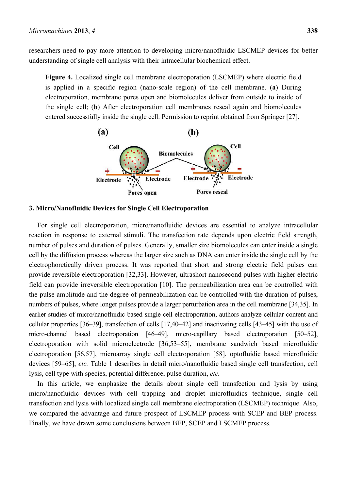researchers need to pay more attention to developing micro/nanofluidic LSCMEP devices for better understanding of single cell analysis with their intracellular biochemical effect.

**Figure 4.** Localized single cell membrane electroporation (LSCMEP) where electric field is applied in a specific region (nano-scale region) of the cell membrane. (**a**) During electroporation, membrane pores open and biomolecules deliver from outside to inside of the single cell; (**b**) After electroporation cell membranes reseal again and biomolecules entered successfully inside the single cell. Permission to reprint obtained from Springer [27].



## **3. Micro/Nanofluidic Devices for Single Cell Electroporation**

For single cell electroporation, micro/nanofluidic devices are essential to analyze intracellular reaction in response to external stimuli. The transfection rate depends upon electric field strength, number of pulses and duration of pulses. Generally, smaller size biomolecules can enter inside a single cell by the diffusion process whereas the larger size such as DNA can enter inside the single cell by the electrophoretically driven process. It was reported that short and strong electric field pulses can provide reversible electroporation [32,33]. However, ultrashort nanosecond pulses with higher electric field can provide irreversible electroporation [10]. The permeabilization area can be controlled with the pulse amplitude and the degree of permeabilization can be controlled with the duration of pulses, numbers of pulses, where longer pulses provide a larger perturbation area in the cell membrane [34,35]. In earlier studies of micro/nanofluidic based single cell electroporation, authors analyze cellular content and cellular properties [36–39], transfection of cells [17,40–42] and inactivating cells [43–45] with the use of micro-channel based electroporation [46–49], micro-capillary based electroporation [50–52], electroporation with solid microelectrode [36,53–55], membrane sandwich based microfluidic electroporation [56,57], microarray single cell electroporation [58], optofluidic based microfluidic devices [59–65], *etc.* Table 1 describes in detail micro/nanofluidic based single cell transfection, cell lysis, cell type with species, potential difference, pulse duration, *etc.*

In this article, we emphasize the details about single cell transfection and lysis by using micro/nanofluidic devices with cell trapping and droplet microfluidics technique, single cell transfection and lysis with localized single cell membrane electroporation (LSCMEP) technique. Also, we compared the advantage and future prospect of LSCMEP process with SCEP and BEP process. Finally, we have drawn some conclusions between BEP, SCEP and LSCMEP process.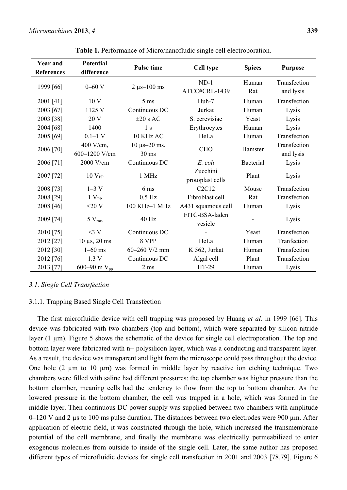| <b>Year and</b><br><b>References</b> | <b>Potential</b><br>difference | <b>Pulse time</b>                               | <b>Cell type</b>               | <b>Spices</b> | <b>Purpose</b>            |
|--------------------------------------|--------------------------------|-------------------------------------------------|--------------------------------|---------------|---------------------------|
| 1999 [66]                            | $0 - 60$ V                     | $2 \mu s - 100$ ms                              | $ND-1$<br>ATCC#CRL-1439        | Human<br>Rat  | Transfection<br>and lysis |
| 2001 [41]                            | 10 <sub>V</sub>                | $5 \text{ ms}$                                  | Huh-7                          | Human         | Transfection              |
| 2003 [67]                            | 1125 V                         | Continuous DC                                   | Jurkat                         | Human         | Lysis                     |
| 2003 [38]                            | 20 V                           | $\pm 20$ s AC                                   | S. cerevisiae                  | Yeast         | Lysis                     |
| 2004 [68]                            | 1400                           | 1 <sub>s</sub>                                  | Erythrocytes                   | Human         | Lysis                     |
| 2005 [69]                            | $0.1 - 1$ V                    | 10 KHz AC                                       | HeLa                           | Human         | Transfection              |
| 2006 [70]                            | 400 V/cm,<br>600-1200 V/cm     | $10 \mu s - 20 \text{ ms}$ ,<br>$30 \text{ ms}$ | <b>CHO</b>                     | Hamster       | Transfection<br>and lysis |
| 2006 [71]                            | 2000 V/cm                      | Continuous DC                                   | E. coli                        | Bacterial     | Lysis                     |
| 2007 [72]                            | $10 V_{PP}$                    | 1 MHz                                           | Zucchini<br>protoplast cells   | Plant         | Lysis                     |
| 2008 [73]                            | $1-3$ V                        | 6 <sub>ms</sub>                                 | C <sub>2</sub> C <sub>12</sub> | Mouse         | Transfection              |
| 2008 [29]                            | $1 V_{PP}$                     | $0.5$ Hz                                        | Fibroblast cell                | Rat           | Transfection              |
| 2008 [46]                            | $<$ 20 V                       | 100 KHz-1 MHz                                   | A431 squamous cell             | Human         | Lysis                     |
| 2009 [74]                            | $5 V_{rms}$                    | 40 Hz                                           | FITC-BSA-laden<br>vesicle      |               | Lysis                     |
| 2010 [75]                            | <3 V                           | Continuous DC                                   |                                | Yeast         | Transfection              |
| 2012 [27]                            | $10 \mu s$ , $20 ms$           | 8 VPP                                           | HeLa                           | Human         | Tranfection               |
| 2012 [30]                            | $1-60$ ms                      | 60-260 V/2 mm                                   | K 562, Jurkat                  | Human         | Transfection              |
| 2012 [76]                            | 1.3V                           | Continuous DC                                   | Algal cell                     | Plant         | Transfection              |
| 2013 [77]                            | 600–90 m $V_{pp}$              | $2 \text{ ms}$                                  | HT-29                          | Human         | Lysis                     |

**Table 1.** Performance of Micro/nanofludic single cell electroporation.

# *3.1. Single Cell Transfection*

# 3.1.1. Trapping Based Single Cell Transfection

The first microfluidic device with cell trapping was proposed by Huang *et al.* in 1999 [66]. This device was fabricated with two chambers (top and bottom), which were separated by silicon nitride layer (1 μm). Figure 5 shows the schematic of the device for single cell electroporation. The top and bottom layer were fabricated with n+ polysilicon layer, which was a conducting and transparent layer. As a result, the device was transparent and light from the microscope could pass throughout the device. One hole (2 µm to 10 µm) was formed in middle layer by reactive ion etching technique. Two chambers were filled with saline had different pressures: the top chamber was higher pressure than the bottom chamber, meaning cells had the tendency to flow from the top to bottom chamber. As the lowered pressure in the bottom chamber, the cell was trapped in a hole, which was formed in the middle layer. Then continuous DC power supply was supplied between two chambers with amplitude 0–120 V and 2 µs to 100 ms pulse duration. The distances between two electrodes were 900 µm. After application of electric field, it was constricted through the hole, which increased the transmembrane potential of the cell membrane, and finally the membrane was electrically permeabilized to enter exogenous molecules from outside to inside of the single cell. Later, the same author has proposed different types of microfluidic devices for single cell transfection in 2001 and 2003 [78,79]. Figure 6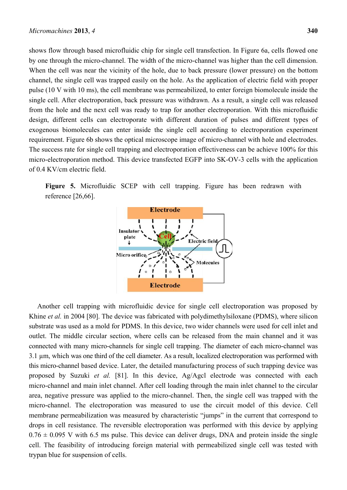shows flow through based microfluidic chip for single cell transfection. In Figure 6a, cells flowed one by one through the micro-channel. The width of the micro-channel was higher than the cell dimension. When the cell was near the vicinity of the hole, due to back pressure (lower pressure) on the bottom channel, the single cell was trapped easily on the hole. As the application of electric field with proper pulse (10 V with 10 ms), the cell membrane was permeabilized, to enter foreign biomolecule inside the single cell. After electroporation, back pressure was withdrawn. As a result, a single cell was released from the hole and the next cell was ready to trap for another electroporation. With this microfluidic design, different cells can electroporate with different duration of pulses and different types of exogenous biomolecules can enter inside the single cell according to electroporation experiment requirement. Figure 6b shows the optical microscope image of micro-channel with hole and electrodes. The success rate for single cell trapping and electroporation effectiveness can be achieve 100% for this micro-electroporation method. This device transfected EGFP into SK-OV-3 cells with the application of 0.4 KV/cm electric field.

**Figure 5.** Microfluidic SCEP with cell trapping. Figure has been redrawn with reference [26,66].



Another cell trapping with microfluidic device for single cell electroporation was proposed by Khine *et al.* in 2004 [80]. The device was fabricated with polydimethylsiloxane (PDMS), where silicon substrate was used as a mold for PDMS. In this device, two wider channels were used for cell inlet and outlet. The middle circular section, where cells can be released from the main channel and it was connected with many micro-channels for single cell trapping. The diameter of each micro-channel was 3.1 µm, which was one third of the cell diameter. As a result, localized electroporation was performed with this micro-channel based device. Later, the detailed manufacturing process of such trapping device was proposed by Suzuki *et al.* [81]. In this device, Ag/Agcl electrode was connected with each micro-channel and main inlet channel. After cell loading through the main inlet channel to the circular area, negative pressure was applied to the micro-channel. Then, the single cell was trapped with the micro-channel. The electroporation was measured to use the circuit model of this device. Cell membrane permeabilization was measured by characteristic "jumps" in the current that correspond to drops in cell resistance. The reversible electroporation was performed with this device by applying  $0.76 \pm 0.095$  V with 6.5 ms pulse. This device can deliver drugs, DNA and protein inside the single cell. The feasibility of introducing foreign material with permeabilized single cell was tested with trypan blue for suspension of cells.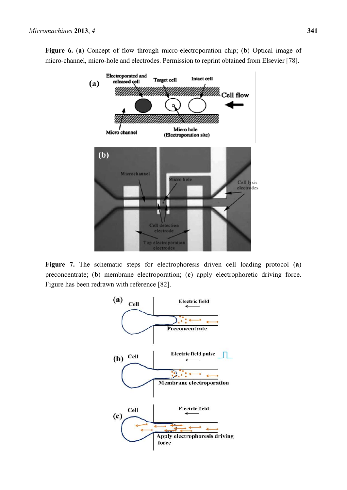**Figure 6.** (**a**) Concept of flow through micro-electroporation chip; (**b**) Optical image of micro-channel, micro-hole and electrodes. Permission to reprint obtained from Elsevier [78].



**Figure 7.** The schematic steps for electrophoresis driven cell loading protocol (**a**) preconcentrate; (**b**) membrane electroporation; (**c**) apply electrophoretic driving force. Figure has been redrawn with reference [82].

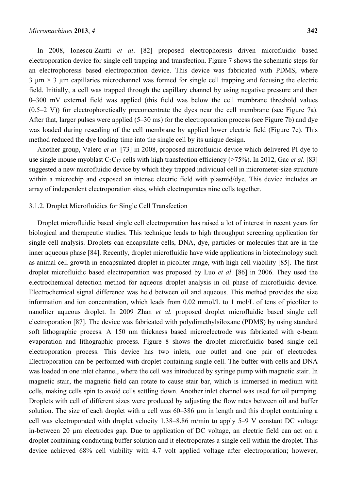In 2008, Ionescu-Zantti *et al*. [82] proposed electrophoresis driven microfluidic based electroporation device for single cell trapping and transfection. Figure 7 shows the schematic steps for an electrophoresis based electroporation device. This device was fabricated with PDMS, where  $3 \text{ µm} \times 3 \text{ µm}$  capillaries microchannel was formed for single cell trapping and focusing the electric field. Initially, a cell was trapped through the capillary channel by using negative pressure and then 0–300 mV external field was applied (this field was below the cell membrane threshold values (0.5–2 V)) for electrophoretically preconcentrate the dyes near the cell membrane (see Figure 7a). After that, larger pulses were applied (5–30 ms) for the electroporation process (see Figure 7b) and dye was loaded during resealing of the cell membrane by applied lower electric field (Figure 7c). This method reduced the dye loading time into the single cell by its unique design.

Another group, Valero *et al.* [73] in 2008, proposed microfluidic device which delivered PI dye to use single mouse myoblast  $C_2C_{12}$  cells with high transfection efficiency ( $>75\%$ ). In 2012, Gac *et al.* [83] suggested a new microfluidic device by which they trapped individual cell in micrometer-size structure within a microchip and exposed an intense electric field with plasmid/dye. This device includes an array of independent electroporation sites, which electroporates nine cells together.

## 3.1.2. Droplet Microfluidics for Single Cell Transfection

Droplet microfluidic based single cell electroporation has raised a lot of interest in recent years for biological and therapeutic studies. This technique leads to high throughput screening application for single cell analysis. Droplets can encapsulate cells, DNA, dye, particles or molecules that are in the inner aqueous phase [84]. Recently, droplet microfluidic have wide applications in biotechnology such as animal cell growth in encapsulated droplet in picoliter range, with high cell viability [85]. The first droplet microfluidic based electroporation was proposed by Luo *et al*. [86] in 2006. They used the electrochemical detection method for aqueous droplet analysis in oil phase of microfluidic device. Electrochemical signal difference was held between oil and aqueous. This method provides the size information and ion concentration, which leads from 0.02 mmol/L to 1 mol/L of tens of picoliter to nanoliter aqueous droplet. In 2009 Zhan *et al.* proposed droplet microfluidic based single cell electroporation [87]. The device was fabricated with polydimethylsiloxane (PDMS) by using standard soft lithographic process. A 150 nm thickness based microelectrode was fabricated with e-beam evaporation and lithographic process. Figure 8 shows the droplet microfluidic based single cell electroporation process. This device has two inlets, one outlet and one pair of electrodes. Electroporation can be performed with droplet containing single cell. The buffer with cells and DNA was loaded in one inlet channel, where the cell was introduced by syringe pump with magnetic stair. In magnetic stair, the magnetic field can rotate to cause stair bar, which is immersed in medium with cells, making cells spin to avoid cells settling down. Another inlet channel was used for oil pumping. Droplets with cell of different sizes were produced by adjusting the flow rates between oil and buffer solution. The size of each droplet with a cell was  $60-386 \mu m$  in length and this droplet containing a cell was electroporated with droplet velocity 1.38–8.86 m/min to apply 5–9 V constant DC voltage in-between 20 µm electrodes gap. Due to application of DC voltage, an electric field can act on a droplet containing conducting buffer solution and it electroporates a single cell within the droplet. This device achieved 68% cell viability with 4.7 volt applied voltage after electroporation; however,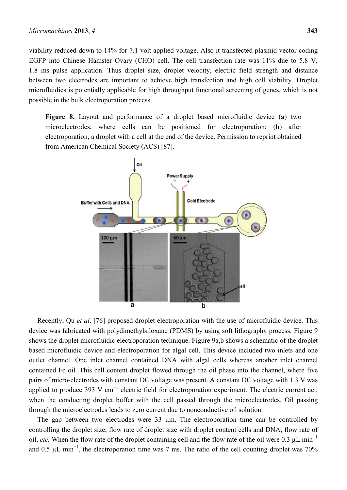viability reduced down to 14% for 7.1 volt applied voltage. Also it transfected plasmid vector coding EGFP into Chinese Hamster Ovary (CHO) cell. The cell transfection rate was 11% due to 5.8 V, 1.8 ms pulse application. Thus droplet size, droplet velocity, electric field strength and distance between two electrodes are important to achieve high transfection and high cell viability. Droplet microfluidics is potentially applicable for high throughput functional screening of genes, which is not possible in the bulk electroporation process.

**Figure 8.** Layout and performance of a droplet based microfluidic device (**a**) two microelectrodes, where cells can be positioned for electroporation; (**b**) after electroporation, a droplet with a cell at the end of the device. Permission to reprint obtained from American Chemical Society (ACS) [87].



Recently, Qu *et al*. [76] proposed droplet electroporation with the use of microfluidic device. This device was fabricated with polydimethylsiloxane (PDMS) by using soft lithography process. Figure 9 shows the droplet microfluidic electroporation technique. Figure 9a,b shows a schematic of the droplet based microfluidic device and electroporation for algal cell. This device included two inlets and one outlet channel. One inlet channel contained DNA with algal cells whereas another inlet channel contained Fc oil. This cell content droplet flowed through the oil phase into the channel, where five pairs of micro-electrodes with constant DC voltage was present. A constant DC voltage with 1.3 V was applied to produce 393 V cm<sup>-1</sup> electric field for electroporation experiment. The electric current act, when the conducting droplet buffer with the cell passed through the microelectrodes. Oil passing through the microelectrodes leads to zero current due to nonconductive oil solution.

The gap between two electrodes were 33 µm. The electroporation time can be controlled by controlling the droplet size, flow rate of droplet size with droplet content cells and DNA, flow rate of oil, *etc.* When the flow rate of the droplet containing cell and the flow rate of the oil were 0.3 µL min<sup>−</sup><sup>1</sup> and 0.5  $\mu$ L min<sup>-1</sup>, the electroporation time was 7 ms. The ratio of the cell counting droplet was 70%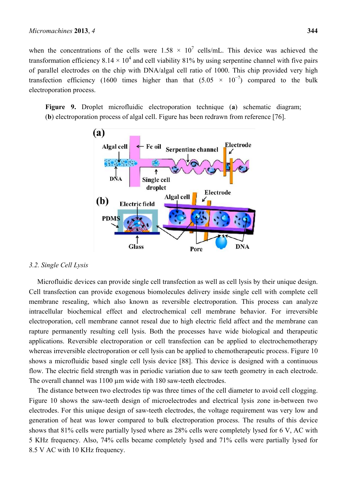when the concentrations of the cells were  $1.58 \times 10^7$  cells/mL. This device was achieved the transformation efficiency  $8.14 \times 10^4$  and cell viability 81% by using serpentine channel with five pairs of parallel electrodes on the chip with DNA/algal cell ratio of 1000. This chip provided very high transfection efficiency (1600 times higher than that  $(5.05 \times 10^{-7})$  compared to the bulk electroporation process.

**Figure 9.** Droplet microfluidic electroporation technique (**a**) schematic diagram; (**b**) electroporation process of algal cell. Figure has been redrawn from reference [76].



## *3.2. Single Cell Lysis*

Microfluidic devices can provide single cell transfection as well as cell lysis by their unique design. Cell transfection can provide exogenous biomolecules delivery inside single cell with complete cell membrane resealing, which also known as reversible electroporation. This process can analyze intracellular biochemical effect and electrochemical cell membrane behavior. For irreversible electroporation, cell membrane cannot reseal due to high electric field affect and the membrane can rapture permanently resulting cell lysis. Both the processes have wide biological and therapeutic applications. Reversible electroporation or cell transfection can be applied to electrochemotherapy whereas irreversible electroporation or cell lysis can be applied to chemotherapeutic process. Figure 10 shows a microfluidic based single cell lysis device [88]. This device is designed with a continuous flow. The electric field strength was in periodic variation due to saw teeth geometry in each electrode. The overall channel was 1100  $\mu$ m wide with 180 saw-teeth electrodes.

The distance between two electrodes tip was three times of the cell diameter to avoid cell clogging. Figure 10 shows the saw-teeth design of microelectrodes and electrical lysis zone in-between two electrodes. For this unique design of saw-teeth electrodes, the voltage requirement was very low and generation of heat was lower compared to bulk electroporation process. The results of this device shows that 81% cells were partially lysed where as 28% cells were completely lysed for 6 V, AC with 5 KHz frequency. Also, 74% cells became completely lysed and 71% cells were partially lysed for 8.5 V AC with 10 KHz frequency.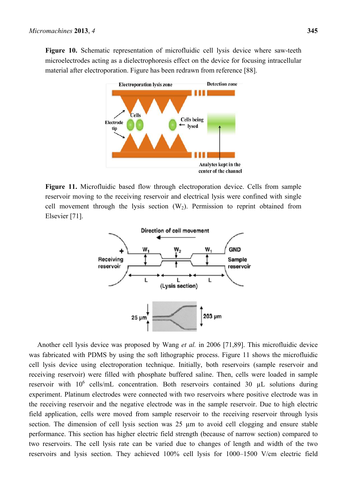**Figure 10.** Schematic representation of microfluidic cell lysis device where saw-teeth microelectrodes acting as a dielectrophoresis effect on the device for focusing intracellular material after electroporation. Figure has been redrawn from reference [88].



**Figure 11.** Microfluidic based flow through electroporation device. Cells from sample reservoir moving to the receiving reservoir and electrical lysis were confined with single cell movement through the lysis section  $(W_2)$ . Permission to reprint obtained from Elsevier [71].



Another cell lysis device was proposed by Wang *et al.* in 2006 [71,89]. This microfluidic device was fabricated with PDMS by using the soft lithographic process. Figure 11 shows the microfluidic cell lysis device using electroporation technique. Initially, both reservoirs (sample reservoir and receiving reservoir) were filled with phosphate buffered saline. Then, cells were loaded in sample reservoir with  $10^6$  cells/mL concentration. Both reservoirs contained 30  $\mu$ L solutions during experiment. Platinum electrodes were connected with two reservoirs where positive electrode was in the receiving reservoir and the negative electrode was in the sample reservoir. Due to high electric field application, cells were moved from sample reservoir to the receiving reservoir through lysis section. The dimension of cell lysis section was  $25 \mu m$  to avoid cell clogging and ensure stable performance. This section has higher electric field strength (because of narrow section) compared to two reservoirs. The cell lysis rate can be varied due to changes of length and width of the two reservoirs and lysis section. They achieved 100% cell lysis for 1000–1500 V/cm electric field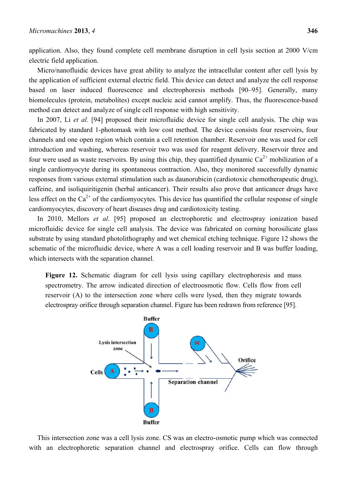application. Also, they found complete cell membrane disruption in cell lysis section at 2000 V/cm electric field application.

Micro/nanofluidic devices have great ability to analyze the intracellular content after cell lysis by the application of sufficient external electric field. This device can detect and analyze the cell response based on laser induced fluorescence and electrophoresis methods [90–95]. Generally, many biomolecules (protein, metabolites) except nucleic acid cannot amplify. Thus, the fluorescence-based method can detect and analyze of single cell response with high sensitivity.

In 2007, Li *et al.* [94] proposed their microfluidic device for single cell analysis. The chip was fabricated by standard 1-photomask with low cost method. The device consists four reservoirs, four channels and one open region which contain a cell retention chamber. Reservoir one was used for cell introduction and washing, whereas reservoir two was used for reagent delivery. Reservoir three and four were used as waste reservoirs. By using this chip, they quantified dynamic  $Ca^{2+}$  mobilization of a single cardiomyocyte during its spontaneous contraction. Also, they monitored successfully dynamic responses from various external stimulation such as daunorubicin (cardiotoxic chemotherapeutic drug), caffeine, and isoliquiritigenin (herbal anticancer). Their results also prove that anticancer drugs have less effect on the  $Ca^{2+}$  of the cardiomyocytes. This device has quantified the cellular response of single cardiomyocytes, discovery of heart diseases drug and cardiotoxicity testing.

In 2010, Mellors *et al*. [95] proposed an electrophoretic and electrospray ionization based microfluidic device for single cell analysis. The device was fabricated on corning borosilicate glass substrate by using standard photolithography and wet chemical etching technique. Figure 12 shows the schematic of the microfluidic device, where A was a cell loading reservoir and B was buffer loading, which intersects with the separation channel.

Figure 12. Schematic diagram for cell lysis using capillary electrophoresis and mass spectrometry. The arrow indicated direction of electroosmotic flow. Cells flow from cell reservoir (A) to the intersection zone where cells were lysed, then they migrate towards electrospray orifice through separation channel. Figure has been redrawn from reference [95].



This intersection zone was a cell lysis zone. CS was an electro-osmotic pump which was connected with an electrophoretic separation channel and electrospray orifice. Cells can flow through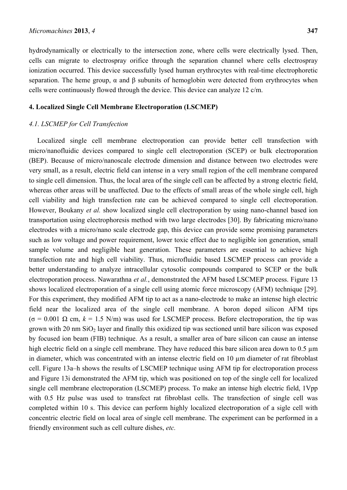hydrodynamically or electrically to the intersection zone, where cells were electrically lysed. Then, cells can migrate to electrospray orifice through the separation channel where cells electrospray ionization occurred. This device successfully lysed human erythrocytes with real-time electrophoretic separation. The heme group,  $\alpha$  and  $\beta$  subunits of hemoglobin were detected from erythrocytes when cells were continuously flowed through the device. This device can analyze 12 c/m.

# **4. Localized Single Cell Membrane Electroporation (LSCMEP)**

## *4.1. LSCMEP for Cell Transfection*

Localized single cell membrane electroporation can provide better cell transfection with micro/nanofluidic devices compared to single cell electroporation (SCEP) or bulk electroporation (BEP). Because of micro/nanoscale electrode dimension and distance between two electrodes were very small, as a result, electric field can intense in a very small region of the cell membrane compared to single cell dimension. Thus, the local area of the single cell can be affected by a strong electric field, whereas other areas will be unaffected. Due to the effects of small areas of the whole single cell, high cell viability and high transfection rate can be achieved compared to single cell electroporation. However, Boukany *et al.* show localized single cell electroporation by using nano-channel based ion transportation using electrophoresis method with two large electrodes [30]. By fabricating micro/nano electrodes with a micro/nano scale electrode gap, this device can provide some promising parameters such as low voltage and power requirement, lower toxic effect due to negligible ion generation, small sample volume and negligible heat generation. These parameters are essential to achieve high transfection rate and high cell viability. Thus, microfluidic based LSCMEP process can provide a better understanding to analyze intracellular cytosolic compounds compared to SCEP or the bulk electroporation process. Nawarathna *et al.*, demonstrated the AFM based LSCMEP process. Figure 13 shows localized electroporation of a single cell using atomic force microscopy (AFM) technique [29]. For this experiment, they modified AFM tip to act as a nano-electrode to make an intense high electric field near the localized area of the single cell membrane. A boron doped silicon AFM tips ( $\sigma$  = 0.001  $\Omega$  cm,  $k$  = 1.5 N/m) was used for LSCMEP process. Before electroporation, the tip was grown with 20 nm  $SiO<sub>2</sub>$  layer and finally this oxidized tip was sectioned until bare silicon was exposed by focused ion beam (FIB) technique. As a result, a smaller area of bare silicon can cause an intense high electric field on a single cell membrane. They have reduced this bare silicon area down to 0.5  $\mu$ m in diameter, which was concentrated with an intense electric field on 10 µm diameter of rat fibroblast cell. Figure 13a–h shows the results of LSCMEP technique using AFM tip for electroporation process and Figure 13i demonstrated the AFM tip, which was positioned on top of the single cell for localized single cell membrane electroporation (LSCMEP) process. To make an intense high electric field, 1Vpp with 0.5 Hz pulse was used to transfect rat fibroblast cells. The transfection of single cell was completed within 10 s. This device can perform highly localized electroporation of a sigle cell with concentric electric field on local area of single cell membrane. The experiment can be performed in a friendly environment such as cell culture dishes, *etc.*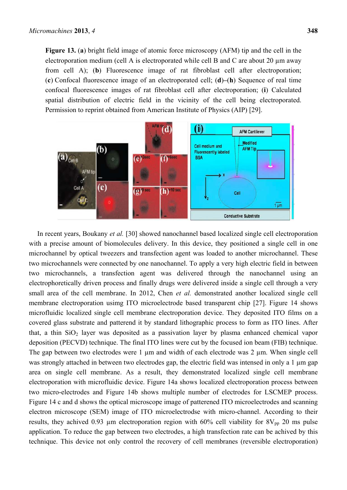**Figure 13.** (**a**) bright field image of atomic force microscopy (AFM) tip and the cell in the electroporation medium (cell A is electroporated while cell B and C are about 20 µm away from cell A); (**b**) Fluorescence image of rat fibroblast cell after electroporation; (**c**) Confocal fluorescence image of an electroporated cell; (**d**)**–**(**h**) Sequence of real time confocal fluorescence images of rat fibroblast cell after electroporation; (**i**) Calculated spatial distribution of electric field in the vicinity of the cell being electroporated. Permission to reprint obtained from American Institute of Physics (AIP) [29].



In recent years, Boukany *et al.* [30] showed nanochannel based localized single cell electroporation with a precise amount of biomolecules delivery. In this device, they positioned a single cell in one microchannel by optical tweezers and transfection agent was loaded to another microchannel. These two microchannels were connected by one nanochannel. To apply a very high electric field in between two microchannels, a transfection agent was delivered through the nanochannel using an electrophoretically driven process and finally drugs were delivered inside a single cell through a very small area of the cell membrane. In 2012, Chen *et al.* demonstrated another localized single cell membrane electroporation usimg ITO microelectrode based transparent chip [27]. Figure 14 shows microfluidic localized single cell membrane electroporation device. They deposited ITO films on a covered glass substrate and patterend it by standard lithographic process to form as ITO lines. After that, a thin  $SiO<sub>2</sub>$  layer was deposited as a passivation layer by plasma enhanced chemical vapor deposition (PECVD) technique. The final ITO lines were cut by the focused ion beam (FIB) technique. The gap between two electrodes were 1 µm and width of each electrode was 2 µm. When single cell was strongly attached in between two electrodes gap, the electric field was intensed in only a 1 µm gap area on single cell membrane. As a result, they demonstrated localized single cell membrane electroporation with microfluidic device. Figure 14a shows localized electroporation process between two micro-electrodes and Figure 14b shows multiple number of electrodes for LSCMEP process. Figure 14 c and d shows the optical microscope image of patterened ITO microelectrodes and scanning electron microscope (SEM) image of ITO microelectrodse with micro-channel. According to their results, they achived 0.93  $\mu$ m electroporation region with 60% cell viability for  $8V_{\text{pp}}$  20 ms pulse application. To reduce the gap between two electrodes, a high transfection rate can be achived by this technique. This device not only control the recovery of cell membranes (reversible electroporation)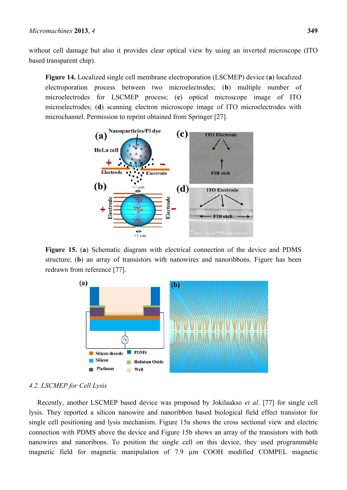without cell damage but also it provides clear optical view by using an inverted microscope (ITO based transparent chip).

**Figure 14.** Localized single cell membrane electroporation (LSCMEP) device (**a**) localized electroporation process between two microelectrodes; (**b**) multiple number of microelectrodes for LSCMEP process; (**c**) optical microscope image of ITO microelectrodes; (**d**) scanning electron microscope image of ITO microelectrodes with microchannel. Permission to reprint obtained from Springer [27].



**Figure 15.** (**a**) Schematic diagram with electrical connection of the device and PDMS structure; (**b**) an array of transistors with nanowires and nanoribbons. Figure has been redrawn from reference [77].



# *4.2. LSCMEP for Cell Lysis*

Recently, another LSCMEP based device was proposed by Jokilaakso *et al*. [77] for single cell lysis. They reported a silicon nanowire and nanoribbon based biological field effect transistor for single cell positioning and lysis mechanism. Figure 15a shows the cross sectional view and electric connection with PDMS above the device and Figure 15b shows an array of the transistors with both nanowires and nanoribons. To position the single cell on this device, they used programmable magnetic field for magnetic manipulation of 7.9  $\mu$ m COOH modified COMPEL magnetic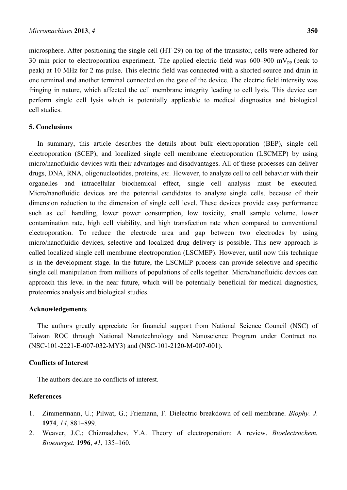microsphere. After positioning the single cell (HT-29) on top of the transistor, cells were adhered for 30 min prior to electroporation experiment. The applied electric field was  $600-900$  mV<sub>pp</sub> (peak to peak) at 10 MHz for 2 ms pulse. This electric field was connected with a shorted source and drain in one terminal and another terminal connected on the gate of the device. The electric field intensity was fringing in nature, which affected the cell membrane integrity leading to cell lysis. This device can perform single cell lysis which is potentially applicable to medical diagnostics and biological cell studies.

# **5. Conclusions**

In summary, this article describes the details about bulk electroporation (BEP), single cell electroporation (SCEP), and localized single cell membrane electroporation (LSCMEP) by using micro/nanofluidic devices with their advantages and disadvantages. All of these processes can deliver drugs, DNA, RNA, oligonucleotides, proteins, *etc.* However, to analyze cell to cell behavior with their organelles and intracellular biochemical effect, single cell analysis must be executed. Micro/nanofluidic devices are the potential candidates to analyze single cells, because of their dimension reduction to the dimension of single cell level. These devices provide easy performance such as cell handling, lower power consumption, low toxicity, small sample volume, lower contamination rate, high cell viability, and high transfection rate when compared to conventional electroporation. To reduce the electrode area and gap between two electrodes by using micro/nanofluidic devices, selective and localized drug delivery is possible. This new approach is called localized single cell membrane electroporation (LSCMEP). However, until now this technique is in the development stage. In the future, the LSCMEP process can provide selective and specific single cell manipulation from millions of populations of cells together. Micro/nanofluidic devices can approach this level in the near future, which will be potentially beneficial for medical diagnostics, proteomics analysis and biological studies.

#### **Acknowledgements**

The authors greatly appreciate for financial support from National Science Council (NSC) of Taiwan ROC through National Nanotechnology and Nanoscience Program under Contract no. (NSC-101-2221-E-007-032-MY3) and (NSC-101-2120-M-007-001).

# **Conflicts of Interest**

The authors declare no conflicts of interest.

# **References**

- 1. Zimmermann, U.; Pilwat, G.; Friemann, F. Dielectric breakdown of cell membrane. *Biophy. J*. **1974**, *14*, 881–899.
- 2. Weaver, J.C.; Chizmadzhev, Y.A. Theory of electroporation: A review. *Bioelectrochem. Bioenerget.* **1996**, *41*, 135–160.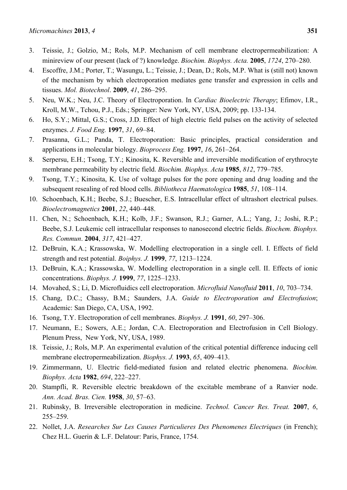- 3. Teissie, J.; Golzio, M.; Rols, M.P. Mechanism of cell membrane electropermeabilization: A minireview of our present (lack of ?) knowledge. *Biochim. Biophys. Acta.* **2005**, *1724*, 270–280.
- 4. Escoffre, J.M.; Porter, T.; Wasungu, L.; Teissie, J.; Dean, D.; Rols, M.P. What is (still not) known of the mechanism by which electroporation mediates gene transfer and expression in cells and tissues. *Mol. Biotechnol*. **2009**, *41*, 286–295.
- 5. Neu, W.K.; Neu, J.C. Theory of Electroporation. In *Cardiac Bioelectric Therapy*; Efimov, I.R., Kroll, M.W., Tchou, P.J., Eds.; Springer: New York, NY, USA, 2009; pp. 133-134.
- 6. Ho, S.Y.; Mittal, G.S.; Cross, J.D. Effect of high electric field pulses on the activity of selected enzymes. *J. Food Eng.* **1997**, *31*, 69–84.
- 7. Prasanna, G.L.; Panda, T. Electroporation: Basic principles, practical consideration and applications in molecular biology. *Bioprocess Eng.* **1997**, *16*, 261–264.
- 8. Serpersu, E.H.; Tsong, T.Y.; Kinosita, K. Reversible and irreversible modification of erythrocyte membrane permeability by electric field. *Biochim. Biophys. Acta* **1985**, *812*, 779–785.
- 9. Tsong, T.Y.; Kinosita, K. Use of voltage pulses for the pore opening and drug loading and the subsequent resealing of red blood cells. *Bibliotheca Haematologica* **1985**, *51*, 108–114.
- 10. Schoenbach, K.H.; Beebe, S.J.; Buescher, E.S. Intracellular effect of ultrashort electrical pulses. *Bioelectromagnetics* **2001**, *22*, 440–448.
- 11. Chen, N.; Schoenbach, K.H.; Kolb, J.F.; Swanson, R.J.; Garner, A.L.; Yang, J.; Joshi, R.P.; Beebe, S.J. Leukemic cell intracellular responses to nanosecond electric fields. *Biochem. Biophys. Res. Commun*. **2004**, *317*, 421–427.
- 12. DeBruin, K.A.; Krassowska, W. Modelling electroporation in a single cell. I. Effects of field strength and rest potential. *Boiphys. J.* **1999**, *77*, 1213–1224.
- 13. DeBruin, K.A.; Krassowska, W. Modelling electroporation in a single cell. II. Effects of ionic concentrations. *Biophys. J.* **1999**, *77*, 1225–1233.
- 14. Movahed, S.; Li, D. Microfluidics cell electroporation. *Microfluid Nanofluid* **2011**, *10*, 703–734.
- 15. Chang, D.C.; Chassy, B.M.; Saunders, J.A. *Guide to Electroporation and Electrofusion*; Academic: San Diego, CA, USA, 1992.
- 16. Tsong, T.Y. Electroporation of cell membranes. *Biophys. J.* **1991**, *60*, 297–306.
- 17. Neumann, E.; Sowers, A.E.; Jordan, C.A. Electroporation and Electrofusion in Cell Biology. Plenum Press, New York, NY, USA, 1989.
- 18. Teissie, J.; Rols, M.P. An experimental evalution of the critical potential difference inducing cell membrane electropermeabilization. *Biophys. J.* **1993**, *65*, 409–413.
- 19. Zimmermann, U. Electric field-mediated fusion and related electric phenomena. *Biochim. Biophys. Acta* **1982**, *694*, 222–227.
- 20. Stampfli, R. Reversible electric breakdown of the excitable membrane of a Ranvier node. *Ann. Acad. Bras. Cien.* **1958**, *30*, 57–63.
- 21. Rubinsky, B. Irreversible electroporation in medicine. *Technol. Cancer Res. Treat.* **2007**, *6*, 255–259.
- 22. Nollet, J.A. *Researches Sur Les Causes Particulieres Des Phenomenes Electriques* (in French); Chez H.L. Guerin & L.F. Delatour: Paris, France, 1754.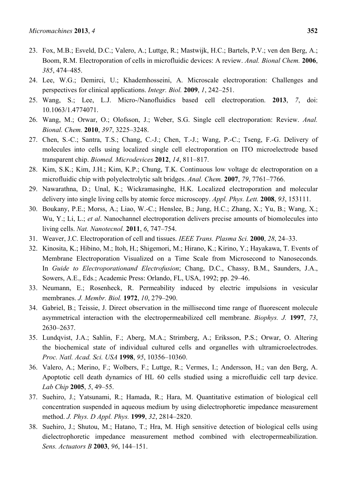- 23. Fox, M.B.; Esveld, D.C.; Valero, A.; Luttge, R.; Mastwijk, H.C.; Bartels, P.V.; ven den Berg, A.; Boom, R.M. Electroporation of cells in microfluidic devices: A review. *Anal. Bional Chem.* **2006**, *385*, 474–485.
- 24. Lee, W.G.; Demirci, U.; Khademhosseini, A. Microscale electroporation: Challenges and perspectives for clinical applications. *Integr. Biol.* **2009**, *1*, 242–251.
- 25. Wang, S.; Lee, L.J. Micro-/Nanofluidics based cell electroporation. **2013**, *7*, doi: 10.1063/1.4774071.
- 26. Wang, M.; Orwar, O.; Olofsson, J.; Weber, S.G. Single cell electroporation: Review. *Anal. Bional. Chem.* **2010**, *397*, 3225–3248.
- 27. Chen, S.-C.; Santra, T.S.; Chang, C.-J.; Chen, T.-J.; Wang, P.-C.; Tseng, F.-G. Delivery of molecules into cells using localized single cell electroporation on ITO microelectrode based transparent chip. *Biomed. Microdevices* **2012**, *14*, 811–817.
- 28. Kim, S.K.; Kim, J.H.; Kim, K.P.; Chung, T.K. Continuous low voltage dc electroporation on a microfluidic chip with polyelectrolytic salt bridges. *Anal. Chem.* **2007**, *79*, 7761–7766.
- 29. Nawarathna, D.; Unal, K.; Wickramasinghe, H.K. Localized electroporation and molecular delivery into single living cells by atomic force microscopy. *Appl. Phys. Lett.* **2008**, *93*, 153111.
- 30. Boukany, P.E.; Morss, A.; Liao, W.-C.; Henslee, B.; Jung, H.C.; Zhang, X.; Yu, B.; Wang, X.; Wu, Y.; Li, L.; *et al.* Nanochannel electroporation delivers precise amounts of biomolecules into living cells. *Nat. Nanotecnol.* **2011**, *6*, 747–754.
- 31. Weaver, J.C. Electroporation of cell and tissues. *IEEE Trans. Plasma Sci.* **2000**, *28*, 24–33.
- 32. Kinosita, K.; Hibino, M.; Itoh, H.; Shigemori, M.; Hirano, K.; Kirino, Y.; Hayakawa, T. Events of Membrane Electroporation Visualized on a Time Scale from Microsecond to Nanoseconds. In *Guide to Electroporationand Electrofusion*; Chang, D.C., Chassy, B.M., Saunders, J.A., Sowers, A.E., Eds.; Academic Press: Orlando, FL, USA, 1992; pp. 29–46.
- 33. Neumann, E.; Rosenheck, R. Permeability induced by electric impulsions in vesicular membranes. *J. Membr. Biol.* **1972**, *10*, 279–290.
- 34. Gabriel, B.; Teissie, J. Direct observation in the millisecond time range of fluorescent molecule asymmetrical interaction with the electropermeabilized cell membrane. *Biophys. J.* **1997**, *73*, 2630–2637.
- 35. Lundqvist, J.A.; Sahlin, F.; Aberg, M.A.; Strimberg, A.; Eriksson, P.S.; Orwar, O. Altering the biochemical state of individual cultured cells and organelles with ultramicroelectrodes. *Proc. Natl. Acad. Sci. USA* **1998**, *95*, 10356–10360.
- 36. Valero, A.; Merino, F.; Wolbers, F.; Luttge, R.; Vermes, I.; Andersson, H.; van den Berg, A. Apoptotic cell death dynamics of HL 60 cells studied using a microfluidic cell tarp device. *Lab Chip* **2005**, *5*, 49–55.
- 37. Suehiro, J.; Yatsunami, R.; Hamada, R.; Hara, M. Quantitative estimation of biological cell concentration suspended in aqueous medium by using dielectrophoretic impedance measurement method. *J. Phys. D Appl. Phys.* **1999**, *32*, 2814–2820.
- 38. Suehiro, J.; Shutou, M.; Hatano, T.; Hra, M. High sensitive detection of biological cells using dielectrophoretic impedance measurement method combined with electropermeabilization. *Sens. Actuators B* **2003**, *96*, 144–151.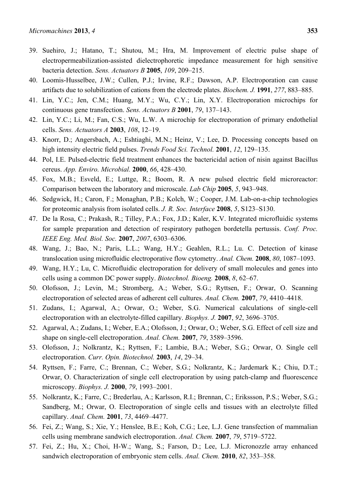- 39. Suehiro, J.; Hatano, T.; Shutou, M.; Hra, M. Improvement of electric pulse shape of electropermeabilization-assisted dielectrophoretic impedance measurement for high sensitive bacteria detection. *Sens. Actuators B* **2005**, *109*, 209–215.
- 40. Loomis-Husselbee, J.W.; Cullen, P.J.; Irvine, R.F.; Dawson, A.P. Electroporation can cause artifacts due to solubilization of cations from the electrode plates. *Biochem. J.* **1991**, *277*, 883–885.
- 41. Lin, Y.C.; Jen, C.M.; Huang, M.Y.; Wu, C.Y.; Lin, X.Y. Electroporation microchips for continuous gene transfection. *Sens. Actuators B* **2001**, *79*, 137–143.
- 42. Lin, Y.C.; Li, M.; Fan, C.S.; Wu, L.W. A microchip for electroporation of primary endothelial cells. *Sens. Actuators A* **2003**, *108*, 12–19.
- 43. Knorr, D.; Angersbach, A.; Eshtiaghi, M.N.; Heinz, V.; Lee, D. Processing concepts based on high intensity electric field pulses. *Trends Food Sci. Technol.* **2001**, *12*, 129–135.
- 44. Pol, I.E. Pulsed-electric field treatment enhances the bactericidal action of nisin against Bacillus cereus. *App. Enviro. Microbial.* **2000**, *66*, 428–430.
- 45. Fox, M.B.; Esveld, E.; Luttge, R.; Boom, R. A new pulsed electric field microreactor: Comparison between the laboratory and microscale. *Lab Chip* **2005**, *5*, 943–948.
- 46. Sedgwick, H.; Caron, F.; Monaghan, P.B.; Kolch, W.; Cooper, J.M. Lab-on-a-chip technologies for proteomic analysis from isolated cells. *J. R. Soc. Interface* **2008**, *5*, S123–S130.
- 47. De la Rosa, C.; Prakash, R.; Tilley, P.A.; Fox, J.D.; Kaler, K.V. Integrated microfluidic systems for sample preparation and detection of respiratory pathogen bordetella pertussis. *Conf. Proc. IEEE Eng. Med. Biol. Soc.* **2007**, *2007*, 6303–6306.
- 48. Wang, J.; Bao, N.; Paris, L.L.; Wang, H.Y.; Geahlen, R.L.; Lu. C. Detection of kinase translocation using microfluidic electroporative flow cytometry. *Anal. Chem.* **2008**, *80*, 1087–1093.
- 49. Wang, H.Y.; Lu, C. Microfluidic electroporation for delivery of small molecules and genes into cells using a common DC power supply. *Biotechnol. Bioeng.* **2008**, *8*, 62–67.
- 50. Olofsson, J.; Levin, M.; Stromberg, A.; Weber, S.G.; Ryttsen, F.; Orwar, O. Scanning electroporation of selected areas of adherent cell cultures. *Anal. Chem.* **2007**, *79*, 4410–4418.
- 51. Zudans, I.; Agarwal, A.; Orwar, O.; Weber, S.G. Numerical calculations of single-cell electroporation with an electrolyte-filled capillary. *Biophys. J.* **2007**, *92*, 3696–3705.
- 52. Agarwal, A.; Zudans, I.; Weber, E.A.; Olofsson, J.; Orwar, O.; Weber, S.G. Effect of cell size and shape on single-cell electroporation. *Anal. Chem.* **2007**, *79*, 3589–3596.
- 53. Olofsson, J.; Nolkrantz, K.; Ryttsen, F.; Lambie, B.A.; Weber, S.G.; Orwar, O. Single cell electroporation. *Curr. Opin. Biotechnol.* **2003**, *14*, 29–34.
- 54. Ryttsen, F.; Farre, C.; Brennan, C.; Weber, S.G.; Nolkrantz, K.; Jardemark K.; Chiu, D.T.; Orwar, O. Characterization of single cell electroporation by using patch-clamp and fluorescence microscopy. *Biophys. J.* **2000**, *79*, 1993–2001.
- 55. Nolkrantz, K.; Farre, C.; Brederlau, A.; Karlsson, R.I.; Brennan, C.; Erikssson, P.S.; Weber, S.G.; Sandberg, M.; Orwar, O. Electroporation of single cells and tissues with an electrolyte filled capillary. *Anal. Chem.* **2001**, *73*, 4469–4477.
- 56. Fei, Z.; Wang, S.; Xie, Y.; Henslee, B.E.; Koh, C.G.; Lee, L.J. Gene transfection of mammalian cells using membrane sandwich electroporation. *Anal. Chem.* **2007**, *79*, 5719–5722.
- 57. Fei, Z.; Hu, X.; Choi, H-W.; Wang, S.; Farson, D.; Lee, L.J. Micronozzle array enhanced sandwich electroporation of embryonic stem cells. *Anal. Chem.* **2010**, *82*, 353–358.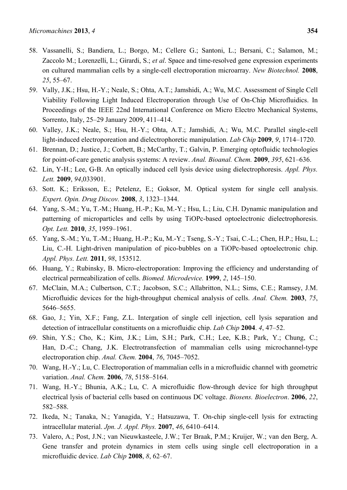- 58. Vassanelli, S.; Bandiera, L.; Borgo, M.; Cellere G.; Santoni, L.; Bersani, C.; Salamon, M.; Zaccolo M.; Lorenzelli, L.; Girardi, S.; *et al*. Space and time-resolved gene expression experiments on cultured mammalian cells by a single-cell electroporation microarray. *New Biotechnol.* **2008**, *25*, 55–67.
- 59. Vally, J.K.; Hsu, H.-Y.; Neale, S.; Ohta, A.T.; Jamshidi, A.; Wu, M.C. Assessment of Single Cell Viability Following Light Induced Electroporation through Use of On-Chip Microfluidics. In Proceedings of the IEEE 22nd International Conference on Micro Electro Mechanical Systems, Sorrento, Italy, 25–29 January 2009, 411–414.
- 60. Valley, J.K.; Neale, S.; Hsu, H.-Y.; Ohta, A.T.; Jamshidi, A.; Wu, M.C. Parallel single-cell light-induced electroporeation and dielectrophoretic manipulation. *Lab Chip* **2009**, *9*, 1714–1720.
- 61. Brennan, D.; Justice, J.; Corbett, B.; McCarthy, T.; Galvin, P. Emerging optofluidic technologies for point-of-care genetic analysis systems: A review. *Anal. Bioanal. Chem.* **2009**, *395*, 621–636.
- 62. Lin, Y-H.; Lee, G-B. An optically induced cell lysis device using dielectrophoresis. *Appl. Phys. Lett.* **2009**, *94*,033901.
- 63. Sott. K.; Eriksson, E.; Petelenz, E.; Goksor, M. Optical system for single cell analysis. *Expert. Opin. Drug Discov.* **2008**, *3*, 1323–1344.
- 64. Yang, S.-M.; Yu, T.-M.; Huang, H.-P.; Ku, M.-Y.; Hsu, L.; Liu, C.H. Dynamic manipulation and patterning of microparticles and cells by using TiOPc-based optoelectronic dielectrophoresis. *Opt. Lett.* **2010**, *35*, 1959–1961.
- 65. Yang, S.-M.; Yu, T.-M.; Huang, H.-P.; Ku, M.-Y.; Tseng, S.-Y.; Tsai, C.-L.; Chen, H.P.; Hsu, L.; Liu, C.-H. Light-driven manipulation of pico-bubbles on a TiOPc-based optoelectronic chip. *Appl. Phys. Lett.* **2011**, *98*, 153512.
- 66. Huang, Y.; Rubinsky, B. Micro-electroporation: Improving the efficiency and understanding of electrical permeabilization of cells. *Biomed. Microdevice.* **1999**, *2*, 145–150.
- 67. McClain, M.A.; Culbertson, C.T.; Jacobson, S.C.; Allabritton, N.L.; Sims, C.E.; Ramsey, J.M. Microfluidic devices for the high-throughput chemical analysis of cells. *Anal. Chem.* **2003**, *75*, 5646–5655.
- 68. Gao, J.; Yin, X.F.; Fang, Z.L. Intergation of single cell injection, cell lysis separation and detection of intracellular constituents on a microfluidic chip. *Lab Chip* **2004**. *4*, 47–52.
- 69. Shin, Y.S.; Cho, K.; Kim, J.K.; Lim, S.H.; Park, C.H.; Lee, K.B.; Park, Y.; Chung, C.; Han, D.-C.; Chang, J.K. Electrotransfection of mammalian cells using microchannel-type electroporation chip. *Anal. Chem.* **2004**, *76*, 7045–7052.
- 70. Wang, H.-Y.; Lu, C. Electroporation of mammalian cells in a microfluidic channel with geometric variation. *Anal. Chem.* **2006**, *78*, 5158–5164.
- 71. Wang, H.-Y.; Bhunia, A.K.; Lu, C. A microfluidic flow-through device for high throughput electrical lysis of bacterial cells based on continuous DC voltage. *Biosens. Bioelectron*. **2006**, *22*, 582–588.
- 72. Ikeda, N.; Tanaka, N.; Yanagida, Y.; Hatsuzawa, T. On-chip single-cell lysis for extracting intracellular material. *Jpn. J. Appl. Phys.* **2007**, *46*, 6410–6414.
- 73. Valero, A.; Post, J.N.; van Nieuwkasteele, J.W.; Ter Braak, P.M.; Kruijer, W.; van den Berg, A. Gene transfer and protein dynamics in stem cells using single cell electroporation in a microfluidic device. *Lab Chip* **2008**, *8*, 62–67.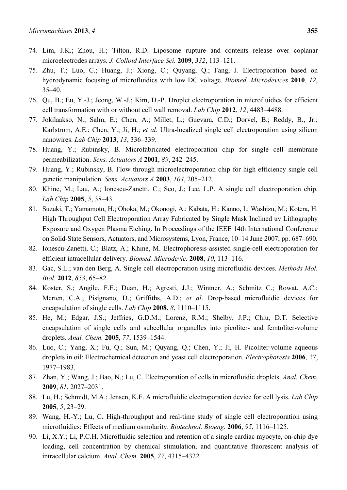- 74. Lim, J.K.; Zhou, H.; Tilton, R.D. Liposome rupture and contents release over coplanar microelectrodes arrays. *J. Colloid Interface Sci.* **2009**, *332*, 113–121.
- 75. Zhu, T.; Luo, C.; Huang, J.; Xiong, C.; Quyang, Q.; Fang, J. Electroporation based on hydrodynamic focusing of microfluidics with low DC voltage. *Biomed. Microdevices* **2010**, *12*, 35–40.
- 76. Qu, B.; Eu, Y.-J.; Jeong, W.-J.; Kim, D.-P. Droplet electroporation in microfluidics for efficient cell transformation with or without cell wall removal. *Lab Chip* **2012**, *12*, 4483–4488.
- 77. Jokilaakso, N.; Salm, E.; Chen, A.; Millet, L.; Guevara, C.D.; Dorvel, B.; Reddy, B., Jr.; Karlstrom, A.E.; Chen, Y.; Ji, H.; *et al*. Ultra-localized single cell electroporation using silicon nanowires. *Lab Chip* **2013**, *13*, 336–339.
- 78. Huang, Y.; Rubinsky, B. Microfabricated electroporation chip for single cell membrane permeabilization. *Sens. Actuators A* **2001**, *89*, 242–245.
- 79. Huang, Y.; Rubinsky, B. Flow through microelectroporation chip for high efficiency single cell genetic manipulation. *Sens. Actuators A* **2003**, *104*, 205–212.
- 80. Khine, M.; Lau, A.; Ionescu-Zanetti, C.; Seo, J.; Lee, L.P. A single cell electroporation chip. *Lab Chip* **2005**, *5*, 38–43.
- 81. Suzuki, T.; Yamamoto, H.; Ohoka, M.; Okonogi, A.; Kabata, H.; Kanno, I.; Washizu, M.; Kotera, H. High Throughput Cell Electroporation Array Fabricated by Single Mask Inclined uv Lithography Exposure and Oxygen Plasma Etching. In Proceedings of the IEEE 14th International Conference on Solid-State Sensors, Actuators, and Microsystems, Lyon, France, 10–14 June 2007; pp. 687–690.
- 82. Ionescu-Zanetti, C.; Blatz, A.; Khine, M. Electrophoresis-assisted single-cell electroporation for efficient intracellular delivery. *Biomed. Microdevic.* **2008**, *10*, 113–116.
- 83. Gac, S.L.; van den Berg, A. Single cell electroporation using microfluidic devices. *Methods Mol. Biol*. **2012**, *853*, 65–82.
- 84. Koster, S.; Angile, F.E.; Duan, H.; Agresti, J.J.; Wintner, A.; Schmitz C.; Rowat, A.C.; Merten, C.A.; Pisignano, D.; Griffiths, A.D.; *et al*. Drop-based microfluidic devices for encapsulation of single cells. *Lab Chip* **2008**, *8*, 1110–1115.
- 85. He, M.; Edgar, J.S.; Jeffries, G.D.M.; Lorenz, R.M.; Shelby, J.P.; Chiu, D.T. Selective encapsulation of single cells and subcellular organelles into picoliter- and femtoliter-volume droplets. *Anal. Chem.* **2005**, *77*, 1539–1544.
- 86. Luo, C.; Yang, X.; Fu, Q.; Sun, M.; Quyang, Q.; Chen, Y.; Ji, H. Picoliter-volume aqueous droplets in oil: Electrochemical detection and yeast cell electroporation. *Electrophoresis* **2006**, *27*, 1977–1983.
- 87. Zhan, Y.; Wang, J.; Bao, N.; Lu, C. Electroporation of cells in microfluidic droplets. *Anal. Chem.* **2009**, *81*, 2027–2031.
- 88. Lu, H.; Schmidt, M.A.; Jensen, K.F. A microfluidic electroporation device for cell lysis. *Lab Chip* **2005**, *5*, 23–29.
- 89. Wang, H.-Y.; Lu, C. High-throughput and real-time study of single cell electroporation using microfluidics: Effects of medium osmolarity. *Biotechnol. Bioeng.* **2006**, *95*, 1116–1125.
- 90. Li, X.Y.; Li, P.C.H. Microfluidic selection and retention of a single cardiac myocyte, on-chip dye loading, cell concentration by chemical stimulation, and quantitative fluorescent analysis of intracellular calcium. *Anal. Chem.* **2005**, *77*, 4315–4322.